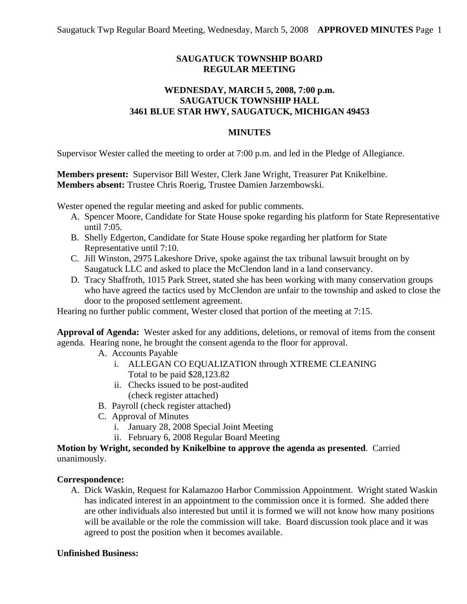# **SAUGATUCK TOWNSHIP BOARD REGULAR MEETING**

## **WEDNESDAY, MARCH 5, 2008, 7:00 p.m. SAUGATUCK TOWNSHIP HALL 3461 BLUE STAR HWY, SAUGATUCK, MICHIGAN 49453**

#### **MINUTES**

Supervisor Wester called the meeting to order at 7:00 p.m. and led in the Pledge of Allegiance.

**Members present:** Supervisor Bill Wester, Clerk Jane Wright, Treasurer Pat Knikelbine. **Members absent:** Trustee Chris Roerig, Trustee Damien Jarzembowski.

Wester opened the regular meeting and asked for public comments.

- A. Spencer Moore, Candidate for State House spoke regarding his platform for State Representative until 7:05.
- B. Shelly Edgerton, Candidate for State House spoke regarding her platform for State Representative until 7:10.
- C. Jill Winston, 2975 Lakeshore Drive, spoke against the tax tribunal lawsuit brought on by Saugatuck LLC and asked to place the McClendon land in a land conservancy.
- D. Tracy Shaffroth, 1015 Park Street, stated she has been working with many conservation groups who have agreed the tactics used by McClendon are unfair to the township and asked to close the door to the proposed settlement agreement.

Hearing no further public comment, Wester closed that portion of the meeting at 7:15.

**Approval of Agenda:** Wester asked for any additions, deletions, or removal of items from the consent agenda. Hearing none, he brought the consent agenda to the floor for approval.

- A. Accounts Payable
	- i. ALLEGAN CO EQUALIZATION through XTREME CLEANING Total to be paid \$28,123.82
	- ii. Checks issued to be post-audited (check register attached)
- B. Payroll (check register attached)
- C. Approval of Minutes
	- i. January 28, 2008 Special Joint Meeting
	- ii. February 6, 2008 Regular Board Meeting

**Motion by Wright, seconded by Knikelbine to approve the agenda as presented**. Carried unanimously.

## **Correspondence:**

A. Dick Waskin, Request for Kalamazoo Harbor Commission Appointment. Wright stated Waskin has indicated interest in an appointment to the commission once it is formed. She added there are other individuals also interested but until it is formed we will not know how many positions will be available or the role the commission will take. Board discussion took place and it was agreed to post the position when it becomes available.

## **Unfinished Business:**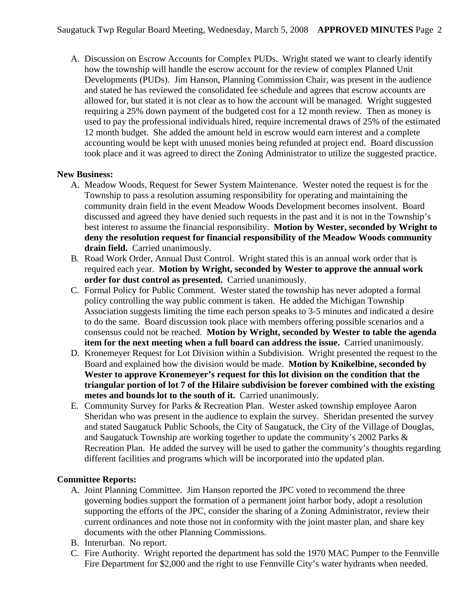A. Discussion on Escrow Accounts for Complex PUDs. Wright stated we want to clearly identify how the township will handle the escrow account for the review of complex Planned Unit Developments (PUDs). Jim Hanson, Planning Commission Chair, was present in the audience and stated he has reviewed the consolidated fee schedule and agrees that escrow accounts are allowed for, but stated it is not clear as to how the account will be managed. Wright suggested requiring a 25% down payment of the budgeted cost for a 12 month review. Then as money is used to pay the professional individuals hired, require incremental draws of 25% of the estimated 12 month budget. She added the amount held in escrow would earn interest and a complete accounting would be kept with unused monies being refunded at project end. Board discussion took place and it was agreed to direct the Zoning Administrator to utilize the suggested practice.

## **New Business:**

- A. Meadow Woods, Request for Sewer System Maintenance. Wester noted the request is for the Township to pass a resolution assuming responsibility for operating and maintaining the community drain field in the event Meadow Woods Development becomes insolvent. Board discussed and agreed they have denied such requests in the past and it is not in the Township's best interest to assume the financial responsibility. **Motion by Wester, seconded by Wright to deny the resolution request for financial responsibility of the Meadow Woods community drain field.** Carried unanimously.
- B. Road Work Order, Annual Dust Control. Wright stated this is an annual work order that is required each year. **Motion by Wright, seconded by Wester to approve the annual work order for dust control as presented.** Carried unanimously.
- C. Formal Policy for Public Comment. Wester stated the township has never adopted a formal policy controlling the way public comment is taken. He added the Michigan Township Association suggests limiting the time each person speaks to 3-5 minutes and indicated a desire to do the same. Board discussion took place with members offering possible scenarios and a consensus could not be reached. **Motion by Wright, seconded by Wester to table the agenda item for the next meeting when a full board can address the issue.** Carried unanimously.
- D. Kronemeyer Request for Lot Division within a Subdivision. Wright presented the request to the Board and explained how the division would be made. **Motion by Knikelbine, seconded by Wester to approve Kronemeyer's request for this lot division on the condition that the triangular portion of lot 7 of the Hilaire subdivision be forever combined with the existing metes and bounds lot to the south of it.** Carried unanimously.
- E. Community Survey for Parks & Recreation Plan. Wester asked township employee Aaron Sheridan who was present in the audience to explain the survey. Sheridan presented the survey and stated Saugatuck Public Schools, the City of Saugatuck, the City of the Village of Douglas, and Saugatuck Township are working together to update the community's 2002 Parks & Recreation Plan. He added the survey will be used to gather the community's thoughts regarding different facilities and programs which will be incorporated into the updated plan.

## **Committee Reports:**

- A. Joint Planning Committee. Jim Hanson reported the JPC voted to recommend the three governing bodies support the formation of a permanent joint harbor body, adopt a resolution supporting the efforts of the JPC, consider the sharing of a Zoning Administrator, review their current ordinances and note those not in conformity with the joint master plan, and share key documents with the other Planning Commissions.
- B. Interurban. No report.
- C. Fire Authority. Wright reported the department has sold the 1970 MAC Pumper to the Fennville Fire Department for \$2,000 and the right to use Fennville City's water hydrants when needed.